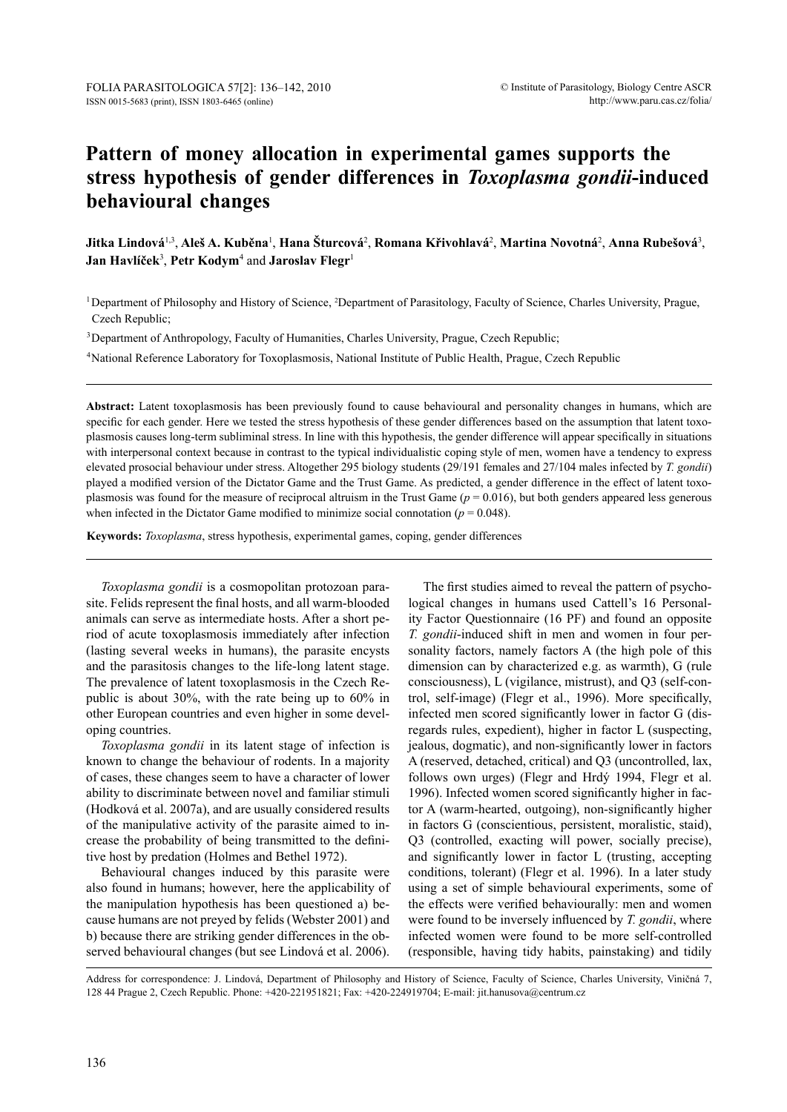# **Pattern of money allocation in experimental games supports the stress hypothesis of gender differences in** *Toxoplasma gondii***-induced behavioural changes**

Jitka Lindová<sup>1,3</sup>, Aleš A. Kuběna<sup>1</sup>, Hana Šturcová<sup>2</sup>, Romana Křivohlavá<sup>2</sup>, Martina Novotná<sup>2</sup>, Anna Rubešová<sup>3</sup>, **Jan Havlíček**<sup>3</sup> , **Petr Kodym**<sup>4</sup> and **Jaroslav Flegr**<sup>1</sup>

<sup>1</sup>Department of Philosophy and History of Science, <sup>2</sup>Department of Parasitology, Faculty of Science, Charles University, Prague, Czech Republic;

<sup>3</sup>Department of Anthropology, Faculty of Humanities, Charles University, Prague, Czech Republic;

4National Reference Laboratory for Toxoplasmosis, National Institute of Public Health, Prague, Czech Republic

**Abstract:** Latent toxoplasmosis has been previously found to cause behavioural and personality changes in humans, which are specific for each gender. Here we tested the stress hypothesis of these gender differences based on the assumption that latent toxoplasmosis causes long-term subliminal stress. In line with this hypothesis, the gender difference will appear specifically in situations with interpersonal context because in contrast to the typical individualistic coping style of men, women have a tendency to express elevated prosocial behaviour under stress. Altogether 295 biology students (29/191 females and 27/104 males infected by *T. gondii*) played a modified version of the Dictator Game and the Trust Game. As predicted, a gender difference in the effect of latent toxoplasmosis was found for the measure of reciprocal altruism in the Trust Game (*p* = 0.016), but both genders appeared less generous when infected in the Dictator Game modified to minimize social connotation ( $p = 0.048$ ).

**Keywords:** *Toxoplasma*, stress hypothesis, experimental games, coping, gender differences

*Toxoplasma gondii* is a cosmopolitan protozoan parasite. Felids represent the final hosts, and all warm-blooded animals can serve as intermediate hosts. After a short period of acute toxoplasmosis immediately after infection (lasting several weeks in humans), the parasite encysts and the parasitosis changes to the life-long latent stage. The prevalence of latent toxoplasmosis in the Czech Republic is about 30%, with the rate being up to 60% in other European countries and even higher in some developing countries.

*Toxoplasma gondii* in its latent stage of infection is known to change the behaviour of rodents. In a majority of cases, these changes seem to have a character of lower ability to discriminate between novel and familiar stimuli (Hodková et al. 2007a), and are usually considered results of the manipulative activity of the parasite aimed to increase the probability of being transmitted to the definitive host by predation (Holmes and Bethel 1972).

Behavioural changes induced by this parasite were also found in humans; however, here the applicability of the manipulation hypothesis has been questioned a) because humans are not preyed by felids (Webster 2001) and b) because there are striking gender differences in the observed behavioural changes (but see Lindová et al. 2006).

The first studies aimed to reveal the pattern of psychological changes in humans used Cattell's 16 Personality Factor Questionnaire (16 PF) and found an opposite *T. gondii*-induced shift in men and women in four personality factors, namely factors A (the high pole of this dimension can by characterized e.g. as warmth), G (rule consciousness), L (vigilance, mistrust), and Q3 (self-control, self-image) (Flegr et al., 1996). More specifically, infected men scored significantly lower in factor G (disregards rules, expedient), higher in factor L (suspecting, jealous, dogmatic), and non-significantly lower in factors A (reserved, detached, critical) and Q3 (uncontrolled, lax, follows own urges) (Flegr and Hrdý 1994, Flegr et al. 1996). Infected women scored significantly higher in factor A (warm-hearted, outgoing), non-significantly higher in factors G (conscientious, persistent, moralistic, staid), Q3 (controlled, exacting will power, socially precise), and significantly lower in factor L (trusting, accepting conditions, tolerant) (Flegr et al. 1996). In a later study using a set of simple behavioural experiments, some of the effects were verified behaviourally: men and women were found to be inversely influenced by *T. gondii*, where infected women were found to be more self-controlled (responsible, having tidy habits, painstaking) and tidily

Address for correspondence: J. Lindová, Department of Philosophy and History of Science, Faculty of Science, Charles University, Viničná 7, 128 44 Prague 2, Czech Republic. Phone: +420-221951821; Fax: +420-224919704; E-mail: jit.hanusova@centrum.cz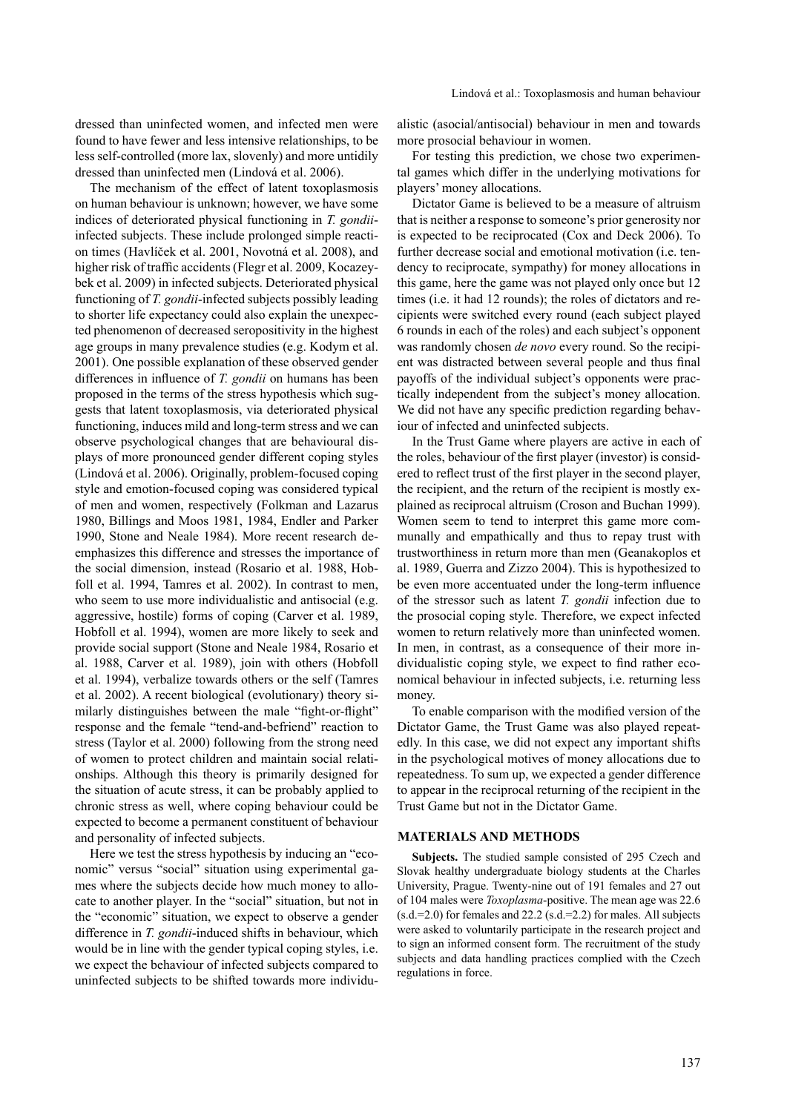dressed than uninfected women, and infected men were found to have fewer and less intensive relationships, to be less self-controlled (more lax, slovenly) and more untidily dressed than uninfected men (Lindová et al. 2006).

The mechanism of the effect of latent toxoplasmosis on human behaviour is unknown; however, we have some indices of deteriorated physical functioning in *T. gondii*infected subjects. These include prolonged simple reaction times (Havlíček et al. 2001, Novotná et al. 2008), and higher risk of traffic accidents (Flegr et al. 2009, Kocazeybek et al. 2009) in infected subjects. Deteriorated physical functioning of *T. gondii-*infected subjects possibly leading to shorter life expectancy could also explain the unexpected phenomenon of decreased seropositivity in the highest age groups in many prevalence studies (e.g. Kodym et al. 2001). One possible explanation of these observed gender differences in influence of *T. gondii* on humans has been proposed in the terms of the stress hypothesis which suggests that latent toxoplasmosis, via deteriorated physical functioning, induces mild and long-term stress and we can observe psychological changes that are behavioural displays of more pronounced gender different coping styles (Lindová et al. 2006). Originally, problem-focused coping style and emotion-focused coping was considered typical of men and women, respectively (Folkman and Lazarus 1980, Billings and Moos 1981, 1984, Endler and Parker 1990, Stone and Neale 1984). More recent research deemphasizes this difference and stresses the importance of the social dimension, instead (Rosario et al. 1988, Hobfoll et al. 1994, Tamres et al. 2002). In contrast to men, who seem to use more individualistic and antisocial (e.g. aggressive, hostile) forms of coping (Carver et al. 1989, Hobfoll et al. 1994), women are more likely to seek and provide social support (Stone and Neale 1984, Rosario et al. 1988, Carver et al. 1989), join with others (Hobfoll et al. 1994), verbalize towards others or the self (Tamres et al. 2002). A recent biological (evolutionary) theory similarly distinguishes between the male "fight-or-flight" response and the female "tend-and-befriend" reaction to stress (Taylor et al. 2000) following from the strong need of women to protect children and maintain social relationships. Although this theory is primarily designed for the situation of acute stress, it can be probably applied to chronic stress as well, where coping behaviour could be expected to become a permanent constituent of behaviour and personality of infected subjects.

Here we test the stress hypothesis by inducing an "economic" versus "social" situation using experimental games where the subjects decide how much money to allocate to another player. In the "social" situation, but not in the "economic" situation, we expect to observe a gender difference in *T. gondii*-induced shifts in behaviour, which would be in line with the gender typical coping styles, i.e. we expect the behaviour of infected subjects compared to uninfected subjects to be shifted towards more individualistic (asocial/antisocial) behaviour in men and towards more prosocial behaviour in women.

For testing this prediction, we chose two experimental games which differ in the underlying motivations for players' money allocations.

Dictator Game is believed to be a measure of altruism that is neither a response to someone's prior generosity nor is expected to be reciprocated (Cox and Deck 2006). To further decrease social and emotional motivation (i.e. tendency to reciprocate, sympathy) for money allocations in this game, here the game was not played only once but 12 times (i.e. it had 12 rounds); the roles of dictators and recipients were switched every round (each subject played 6 rounds in each of the roles) and each subject's opponent was randomly chosen *de novo* every round. So the recipient was distracted between several people and thus final payoffs of the individual subject's opponents were practically independent from the subject's money allocation. We did not have any specific prediction regarding behaviour of infected and uninfected subjects.

In the Trust Game where players are active in each of the roles, behaviour of the first player (investor) is considered to reflect trust of the first player in the second player, the recipient, and the return of the recipient is mostly explained as reciprocal altruism (Croson and Buchan 1999). Women seem to tend to interpret this game more communally and empathically and thus to repay trust with trustworthiness in return more than men (Geanakoplos et al. 1989, Guerra and Zizzo 2004). This is hypothesized to be even more accentuated under the long-term influence of the stressor such as latent *T. gondii* infection due to the prosocial coping style. Therefore, we expect infected women to return relatively more than uninfected women. In men, in contrast, as a consequence of their more individualistic coping style, we expect to find rather economical behaviour in infected subjects, i.e. returning less money.

To enable comparison with the modified version of the Dictator Game, the Trust Game was also played repeatedly. In this case, we did not expect any important shifts in the psychological motives of money allocations due to repeatedness. To sum up, we expected a gender difference to appear in the reciprocal returning of the recipient in the Trust Game but not in the Dictator Game.

#### **MATERIALS AND METHODS**

**Subjects.** The studied sample consisted of 295 Czech and Slovak healthy undergraduate biology students at the Charles University, Prague. Twenty-nine out of 191 females and 27 out of 104 males were *Toxoplasma*-positive. The mean age was 22.6  $(s.d.=2.0)$  for females and 22.2  $(s.d.=2.2)$  for males. All subjects were asked to voluntarily participate in the research project and to sign an informed consent form. The recruitment of the study subjects and data handling practices complied with the Czech regulations in force.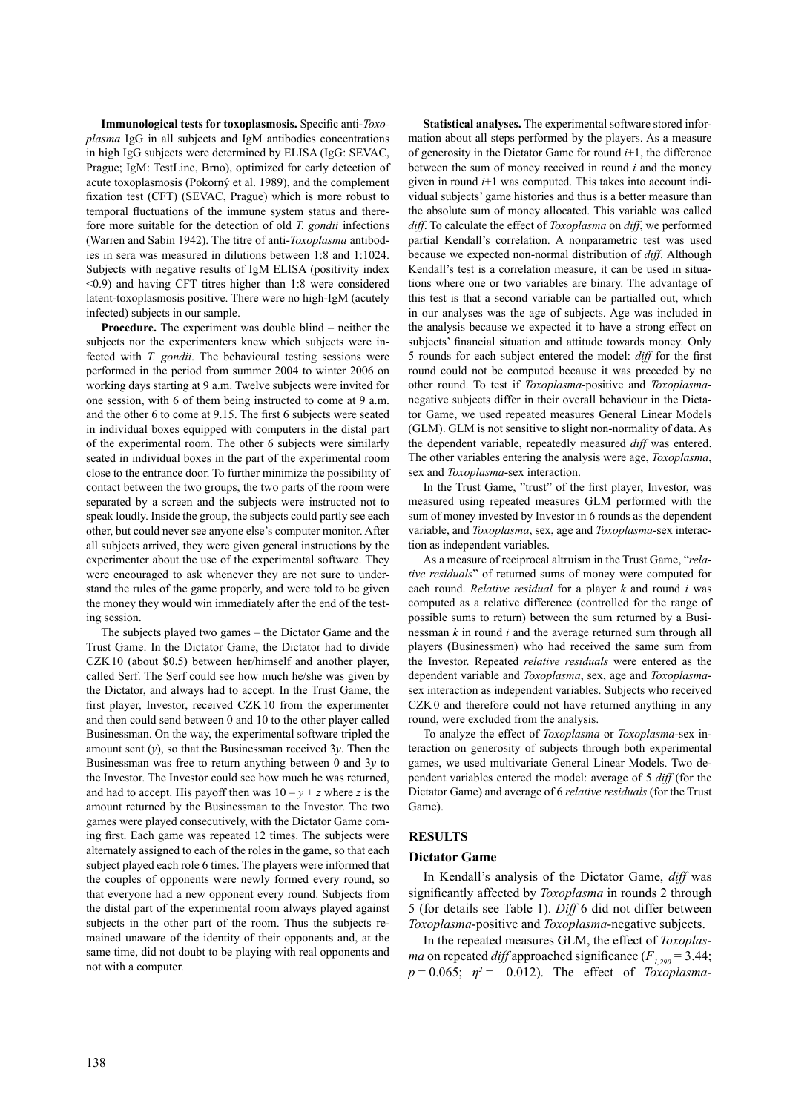**Immunological tests for toxoplasmosis.** Specific anti-*Toxoplasma* IgG in all subjects and IgM antibodies concentrations in high IgG subjects were determined by ELISA (IgG: SEVAC, Prague; IgM: TestLine, Brno), optimized for early detection of acute toxoplasmosis (Pokorný et al. 1989), and the complement fixation test (CFT) (SEVAC, Prague) which is more robust to temporal fluctuations of the immune system status and therefore more suitable for the detection of old *T. gondii* infections (Warren and Sabin 1942). The titre of anti-*Toxoplasma* antibodies in sera was measured in dilutions between 1:8 and 1:1024. Subjects with negative results of IgM ELISA (positivity index <0.9) and having CFT titres higher than 1:8 were considered latent-toxoplasmosis positive. There were no high-IgM (acutely infected) subjects in our sample.

**Procedure.** The experiment was double blind – neither the subjects nor the experimenters knew which subjects were infected with *T. gondii*. The behavioural testing sessions were performed in the period from summer 2004 to winter 2006 on working days starting at 9 a.m. Twelve subjects were invited for one session, with 6 of them being instructed to come at 9 a.m. and the other 6 to come at 9.15. The first 6 subjects were seated in individual boxes equipped with computers in the distal part of the experimental room. The other 6 subjects were similarly seated in individual boxes in the part of the experimental room close to the entrance door. To further minimize the possibility of contact between the two groups, the two parts of the room were separated by a screen and the subjects were instructed not to speak loudly. Inside the group, the subjects could partly see each other, but could never see anyone else's computer monitor. After all subjects arrived, they were given general instructions by the experimenter about the use of the experimental software. They were encouraged to ask whenever they are not sure to understand the rules of the game properly, and were told to be given the money they would win immediately after the end of the testing session.

The subjects played two games – the Dictator Game and the Trust Game. In the Dictator Game, the Dictator had to divide CZK10 (about \$0.5) between her/himself and another player, called Serf. The Serf could see how much he/she was given by the Dictator, and always had to accept. In the Trust Game, the first player, Investor, received CZK10 from the experimenter and then could send between 0 and 10 to the other player called Businessman. On the way, the experimental software tripled the amount sent (*y*), so that the Businessman received 3*y*. Then the Businessman was free to return anything between 0 and 3*y* to the Investor. The Investor could see how much he was returned, and had to accept. His payoff then was  $10 - y + z$  where *z* is the amount returned by the Businessman to the Investor. The two games were played consecutively, with the Dictator Game coming first. Each game was repeated 12 times. The subjects were alternately assigned to each of the roles in the game, so that each subject played each role 6 times. The players were informed that the couples of opponents were newly formed every round, so that everyone had a new opponent every round. Subjects from the distal part of the experimental room always played against subjects in the other part of the room. Thus the subjects remained unaware of the identity of their opponents and, at the same time, did not doubt to be playing with real opponents and not with a computer.

**Statistical analyses.** The experimental software stored information about all steps performed by the players. As a measure of generosity in the Dictator Game for round *i*+1, the difference between the sum of money received in round *i* and the money given in round *i*+1 was computed. This takes into account individual subjects' game histories and thus is a better measure than the absolute sum of money allocated. This variable was called *diff*. To calculate the effect of *Toxoplasma* on *diff*, we performed partial Kendall's correlation. A nonparametric test was used because we expected non-normal distribution of *diff*. Although Kendall's test is a correlation measure, it can be used in situations where one or two variables are binary. The advantage of this test is that a second variable can be partialled out, which in our analyses was the age of subjects. Age was included in the analysis because we expected it to have a strong effect on subjects' financial situation and attitude towards money. Only 5 rounds for each subject entered the model: *diff* for the first round could not be computed because it was preceded by no other round. To test if *Toxoplasma*-positive and *Toxoplasma*negative subjects differ in their overall behaviour in the Dictator Game, we used repeated measures General Linear Models (GLM). GLM is not sensitive to slight non-normality of data. As the dependent variable, repeatedly measured *diff* was entered. The other variables entering the analysis were age, *Toxoplasma*, sex and *Toxoplasma*-sex interaction.

In the Trust Game, "trust" of the first player, Investor, was measured using repeated measures GLM performed with the sum of money invested by Investor in 6 rounds as the dependent variable, and *Toxoplasma*, sex, age and *Toxoplasma*-sex interaction as independent variables.

As a measure of reciprocal altruism in the Trust Game, "*relative residuals*" of returned sums of money were computed for each round. *Relative residual* for a player *k* and round *i* was computed as a relative difference (controlled for the range of possible sums to return) between the sum returned by a Businessman *k* in round *i* and the average returned sum through all players (Businessmen) who had received the same sum from the Investor. Repeated *relative residuals* were entered as the dependent variable and *Toxoplasma*, sex, age and *Toxoplasma*sex interaction as independent variables. Subjects who received CZK0 and therefore could not have returned anything in any round, were excluded from the analysis.

To analyze the effect of *Toxoplasma* or *Toxoplasma*-sex interaction on generosity of subjects through both experimental games, we used multivariate General Linear Models. Two dependent variables entered the model: average of 5 *diff* (for the Dictator Game) and average of 6 *relative residuals* (for the Trust Game).

## **RESULTS**

#### **Dictator Game**

In Kendall's analysis of the Dictator Game, *diff* was significantly affected by *Toxoplasma* in rounds 2 through 5 (for details see Table 1). *Diff* 6 did not differ between *Toxoplasma*-positive and *Toxoplasma*-negative subjects.

In the repeated measures GLM, the effect of *Toxoplasma* on repeated *diff* approached significance  $(F_{1,290} = 3.44)$ ;  $p = 0.065$ ;  $p^2 = 0.012$ ). The effect of *Toxoplasma*-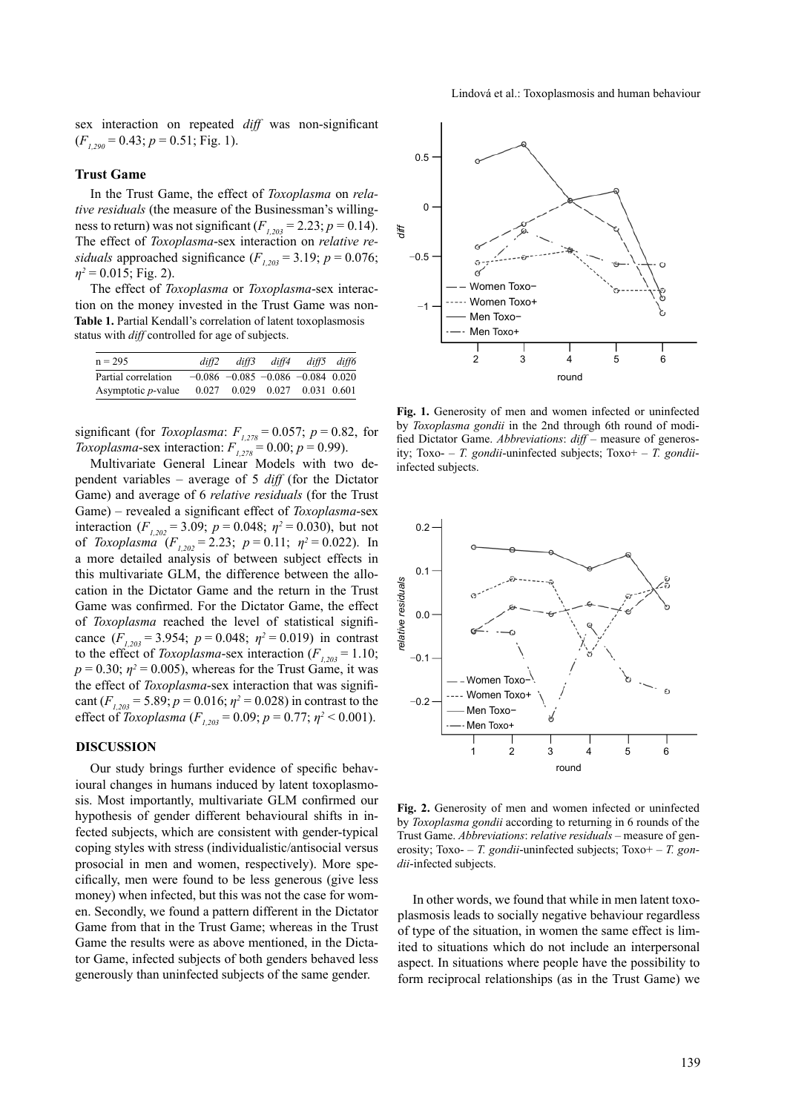sex interaction on repeated *diff* was non-significant  $(F_{1,290} = 0.43; p = 0.51; Fig. 1).$ 

#### **Trust Game**

In the Trust Game, the effect of *Toxoplasma* on *relative residuals* (the measure of the Businessman's willingness to return) was not significant  $(F_{1,203} = 2.23; p = 0.14)$ . The effect of *Toxoplasma*-sex interaction on *relative residuals* approached significance  $(F_{1,203} = 3.19; p = 0.076;$  $\eta^2$  = 0.015; Fig. 2).

The effect of *Toxoplasma* or *Toxoplasma*-sex interaction on the money invested in the Trust Game was non-**Table 1.** Partial Kendall's correlation of latent toxoplasmosis status with *diff* controlled for age of subjects.

| $n = 295$                  | diff2 | diff3 | diff4 |                                           | diff5 diff6 |
|----------------------------|-------|-------|-------|-------------------------------------------|-------------|
| Partial correlation        |       |       |       | $-0.086$ $-0.085$ $-0.086$ $-0.084$ 0.020 |             |
| Asymptotic <i>p</i> -value | 0.027 |       |       | 0.029 0.027 0.031 0.601                   |             |

significant (for *Toxoplasma*:  $F_{1,278} = 0.057$ ;  $p = 0.82$ , for *Toxoplasma*-sex interaction:  $F_{1,278} = 0.00$ ;  $p = 0.99$ ).

Multivariate General Linear Models with two dependent variables – average of 5 *diff* (for the Dictator Game) and average of 6 *relative residuals* (for the Trust Game) – revealed a significant effect of *Toxoplasma*-sex interaction ( $F_{1,202}$  = 3.09;  $p = 0.048$ ;  $\eta^2 = 0.030$ ), but not of *Toxoplasma*  $(F_{1,202} = 2.23; p = 0.11; \eta^2 = 0.022)$ . In a more detailed analysis of between subject effects in this multivariate GLM, the difference between the allocation in the Dictator Game and the return in the Trust Game was confirmed. For the Dictator Game, the effect of *Toxoplasma* reached the level of statistical significance  $(F_{1,203} = 3.954; p = 0.048; \eta^2 = 0.019)$  in contrast to the effect of *Toxoplasma*-sex interaction  $(F_{1,203} = 1.10)$ ;  $p = 0.30$ ;  $\eta^2 = 0.005$ ), whereas for the Trust Game, it was the effect of *Toxoplasma*-sex interaction that was significant  $(F_{1,203} = 5.89; p = 0.016; \eta^2 = 0.028)$  in contrast to the effect of *Toxoplasma* ( $F_{1,203} = 0.09$ ;  $p = 0.77$ ;  $\eta^2 < 0.001$ ).

### **DISCUSSION**

Our study brings further evidence of specific behavioural changes in humans induced by latent toxoplasmosis. Most importantly, multivariate GLM confirmed our hypothesis of gender different behavioural shifts in infected subjects, which are consistent with gender-typical coping styles with stress (individualistic/antisocial versus prosocial in men and women, respectively). More specifically, men were found to be less generous (give less money) when infected, but this was not the case for women. Secondly, we found a pattern different in the Dictator Game from that in the Trust Game; whereas in the Trust Game the results were as above mentioned, in the Dictator Game, infected subjects of both genders behaved less generously than uninfected subjects of the same gender.



Fig. 1. Generosity of men and women infected or uninfected by *Toxoplasma gondii* in the 2nd through 6th round of modified Dictator Game. *Abbreviations*: *diff* – measure of generosity; Toxo- – *T. gondii*-uninfected subjects; Toxo+ – *T. gondii*infected subjects.



**Fig. 2.** Generosity of men and women infected or uninfected by *Toxoplasma gondii* according to returning in 6 rounds of the Trust Game. *Abbreviations*: *relative residuals* – measure of generosity; Toxo- – *T. gondii*-uninfected subjects; Toxo+ – *T. gondii*-infected subjects.

In other words, we found that while in men latent toxoplasmosis leads to socially negative behaviour regardless of type of the situation, in women the same effect is limited to situations which do not include an interpersonal aspect. In situations where people have the possibility to form reciprocal relationships (as in the Trust Game) we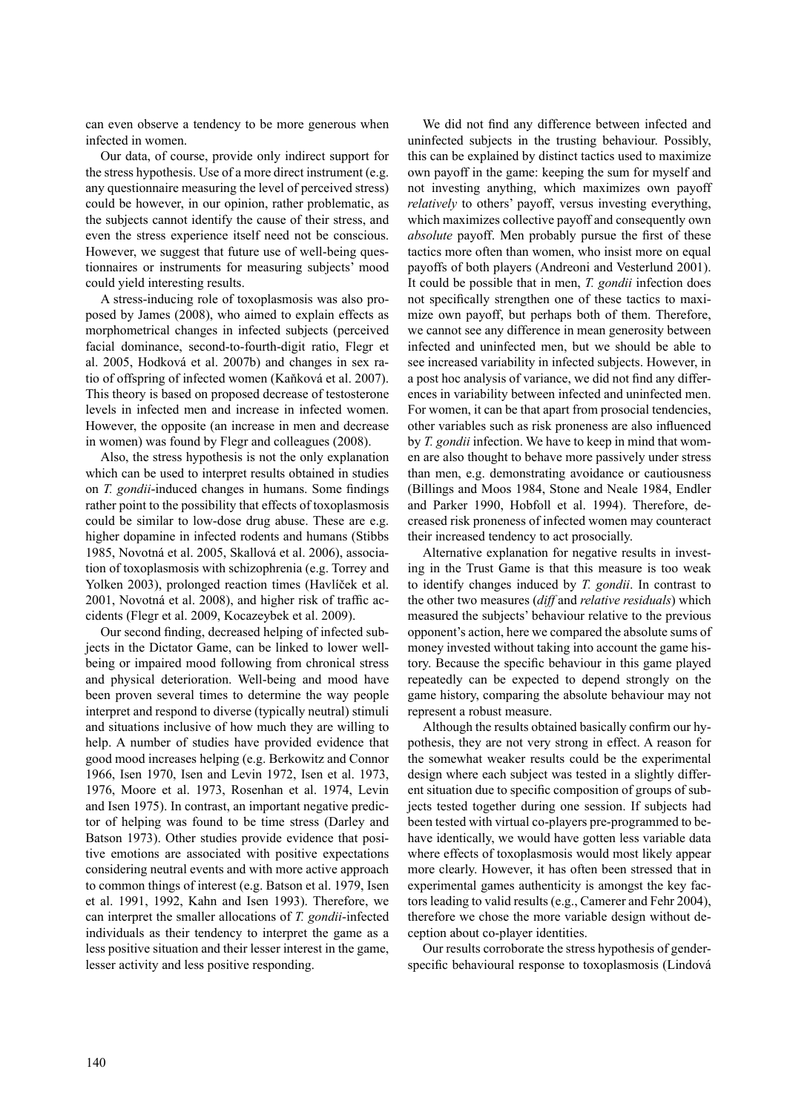can even observe a tendency to be more generous when infected in women.

Our data, of course, provide only indirect support for the stress hypothesis. Use of a more direct instrument (e.g. any questionnaire measuring the level of perceived stress) could be however, in our opinion, rather problematic, as the subjects cannot identify the cause of their stress, and even the stress experience itself need not be conscious. However, we suggest that future use of well-being questionnaires or instruments for measuring subjects' mood could yield interesting results.

A stress-inducing role of toxoplasmosis was also proposed by James (2008), who aimed to explain effects as morphometrical changes in infected subjects (perceived facial dominance, second-to-fourth-digit ratio, Flegr et al. 2005, Hodková et al. 2007b) and changes in sex ratio of offspring of infected women (Kaňková et al. 2007). This theory is based on proposed decrease of testosterone levels in infected men and increase in infected women. However, the opposite (an increase in men and decrease in women) was found by Flegr and colleagues (2008).

Also, the stress hypothesis is not the only explanation which can be used to interpret results obtained in studies on *T. gondii*-induced changes in humans. Some findings rather point to the possibility that effects of toxoplasmosis could be similar to low-dose drug abuse. These are e.g. higher dopamine in infected rodents and humans (Stibbs 1985, Novotná et al. 2005, Skallová et al. 2006), association of toxoplasmosis with schizophrenia (e.g. Torrey and Yolken 2003), prolonged reaction times (Havlíček et al. 2001, Novotná et al. 2008), and higher risk of traffic accidents (Flegr et al. 2009, Kocazeybek et al. 2009).

Our second finding, decreased helping of infected subjects in the Dictator Game, can be linked to lower wellbeing or impaired mood following from chronical stress and physical deterioration. Well-being and mood have been proven several times to determine the way people interpret and respond to diverse (typically neutral) stimuli and situations inclusive of how much they are willing to help. A number of studies have provided evidence that good mood increases helping (e.g. Berkowitz and Connor 1966, Isen 1970, Isen and Levin 1972, Isen et al. 1973, 1976, Moore et al. 1973, Rosenhan et al. 1974, Levin and Isen 1975). In contrast, an important negative predictor of helping was found to be time stress (Darley and Batson 1973). Other studies provide evidence that positive emotions are associated with positive expectations considering neutral events and with more active approach to common things of interest (e.g. Batson et al. 1979, Isen et al. 1991, 1992, Kahn and Isen 1993). Therefore, we can interpret the smaller allocations of *T. gondii*-infected individuals as their tendency to interpret the game as a less positive situation and their lesser interest in the game, lesser activity and less positive responding.

We did not find any difference between infected and uninfected subjects in the trusting behaviour. Possibly, this can be explained by distinct tactics used to maximize own payoff in the game: keeping the sum for myself and not investing anything, which maximizes own payoff *relatively* to others' payoff, versus investing everything, which maximizes collective payoff and consequently own *absolute* payoff. Men probably pursue the first of these tactics more often than women, who insist more on equal payoffs of both players (Andreoni and Vesterlund 2001). It could be possible that in men, *T. gondii* infection does not specifically strengthen one of these tactics to maximize own payoff, but perhaps both of them. Therefore, we cannot see any difference in mean generosity between infected and uninfected men, but we should be able to see increased variability in infected subjects. However, in a post hoc analysis of variance, we did not find any differences in variability between infected and uninfected men. For women, it can be that apart from prosocial tendencies, other variables such as risk proneness are also influenced by *T. gondii* infection. We have to keep in mind that women are also thought to behave more passively under stress than men, e.g. demonstrating avoidance or cautiousness (Billings and Moos 1984, Stone and Neale 1984, Endler and Parker 1990, Hobfoll et al. 1994). Therefore, decreased risk proneness of infected women may counteract their increased tendency to act prosocially.

Alternative explanation for negative results in investing in the Trust Game is that this measure is too weak to identify changes induced by *T. gondii*. In contrast to the other two measures (*diff* and *relative residuals*) which measured the subjects' behaviour relative to the previous opponent's action, here we compared the absolute sums of money invested without taking into account the game history. Because the specific behaviour in this game played repeatedly can be expected to depend strongly on the game history, comparing the absolute behaviour may not represent a robust measure.

Although the results obtained basically confirm our hypothesis, they are not very strong in effect. A reason for the somewhat weaker results could be the experimental design where each subject was tested in a slightly different situation due to specific composition of groups of subjects tested together during one session. If subjects had been tested with virtual co-players pre-programmed to behave identically, we would have gotten less variable data where effects of toxoplasmosis would most likely appear more clearly. However, it has often been stressed that in experimental games authenticity is amongst the key factors leading to valid results (e.g., Camerer and Fehr 2004), therefore we chose the more variable design without deception about co-player identities.

Our results corroborate the stress hypothesis of genderspecific behavioural response to toxoplasmosis (Lindová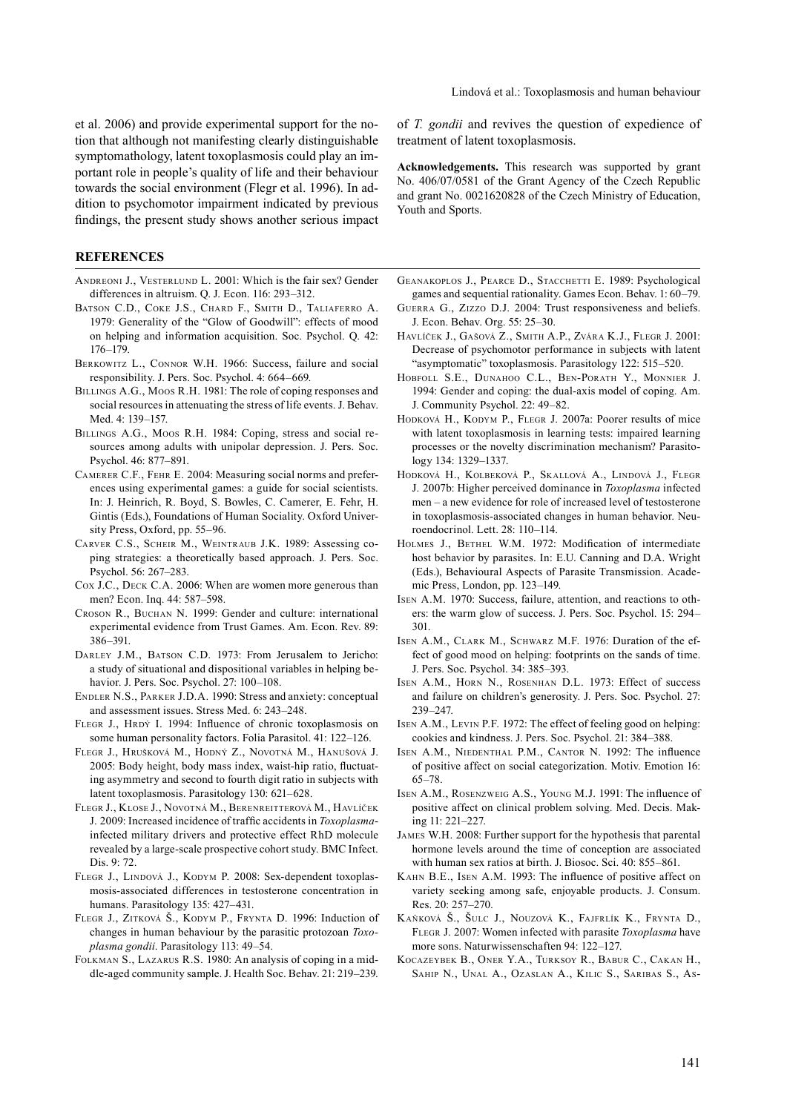et al. 2006) and provide experimental support for the notion that although not manifesting clearly distinguishable symptomathology, latent toxoplasmosis could play an important role in people's quality of life and their behaviour towards the social environment (Flegr et al. 1996). In addition to psychomotor impairment indicated by previous findings, the present study shows another serious impact

## **REFERENCES**

- ANDREONI J., VESTERLUND L. 2001: Which is the fair sex? Gender differences in altruism. Q. J. Econ. 116: 293–312.
- Batson C.D., Coke J.S., Chard F., Smith D., Taliaferro A. 1979: Generality of the "Glow of Goodwill": effects of mood on helping and information acquisition. Soc. Psychol. Q. 42: 176–179.
- BERKOWITZ L., CONNOR W.H. 1966: Success, failure and social responsibility. J. Pers. Soc. Psychol. 4: 664–669.
- BILLINGS A.G., Moos R.H. 1981: The role of coping responses and social resources in attenuating the stress of life events. J. Behav. Med. 4: 139–157.
- Billings A.G., Moos R.H. 1984: Coping, stress and social resources among adults with unipolar depression. J. Pers. Soc. Psychol. 46: 877–891.
- Camerer C.F., Fehr E. 2004: Measuring social norms and preferences using experimental games: a guide for social scientists. In: J. Heinrich, R. Boyd, S. Bowles, C. Camerer, E. Fehr, H. Gintis (Eds.), Foundations of Human Sociality. Oxford University Press, Oxford, pp. 55–96.
- Carver C.S., Scheir M., Weintraub J.K. 1989: Assessing coping strategies: a theoretically based approach. J. Pers. Soc. Psychol. 56: 267–283.
- Cox J.C., Deck C.A. 2006: When are women more generous than men? Econ. Inq. 44: 587–598.
- Croson R., Buchan N. 1999: Gender and culture: international experimental evidence from Trust Games. Am. Econ. Rev. 89: 386–391.
- DARLEY J.M., BATSON C.D. 1973: From Jerusalem to Jericho: a study of situational and dispositional variables in helping behavior. J. Pers. Soc. Psychol. 27: 100–108.
- Endler N.S., Parker J.D.A. 1990: Stress and anxiety: conceptual and assessment issues. Stress Med. 6: 243–248.
- FLEGR J., HRDÝ I. 1994: Influence of chronic toxoplasmosis on some human personality factors. Folia Parasitol. 41: 122–126.
- Flegr J., Hrušková M., Hodný Z., Novotná M., Hanušová J. 2005: Body height, body mass index, waist-hip ratio, fluctuating asymmetry and second to fourth digit ratio in subjects with latent toxoplasmosis. Parasitology 130: 621–628.
- Flegr J., Klose J., Novotná M., Berenreitterová M., Havlíček J. 2009: Increased incidence of traffic accidents in *Toxoplasma*infected military drivers and protective effect RhD molecule revealed by a large-scale prospective cohort study. BMC Infect. Dis. 9: 72.
- FLEGR J., LINDOVÁ J., KODYM P. 2008: Sex-dependent toxoplasmosis-associated differences in testosterone concentration in humans. Parasitology 135: 427–431.
- Flegr J., Zitková Š., Kodym P., Frynta D. 1996: Induction of changes in human behaviour by the parasitic protozoan *Toxoplasma gondii*. Parasitology 113: 49–54.
- Folkman S., Lazarus R.S. 1980: An analysis of coping in a middle-aged community sample. J. Health Soc. Behav. 21: 219–239.

of *T. gondii* and revives the question of expedience of treatment of latent toxoplasmosis.

**Acknowledgements.** This research was supported by grant No. 406/07/0581 of the Grant Agency of the Czech Republic and grant No. 0021620828 of the Czech Ministry of Education, Youth and Sports.

- GEANAKOPLOS J., PEARCE D., STACCHETTI E. 1989: Psychological games and sequential rationality. Games Econ. Behav. 1: 60–79.
- Guerra G., Zizzo D.J. 2004: Trust responsiveness and beliefs. J. Econ. Behav. Org. 55: 25–30.
- Havlíček J., Gašová Z., Smith A.P., Zvára K.J., Flegr J. 2001: Decrease of psychomotor performance in subjects with latent "asymptomatic" toxoplasmosis. Parasitology 122: 515–520.
- Hobfoll S.E., Dunahoo C.L., Ben-Porath Y., Monnier J. 1994: Gender and coping: the dual-axis model of coping. Am. J. Community Psychol. 22: 49–82.
- Hodková H., Kodym P., Flegr J. 2007a: Poorer results of mice with latent toxoplasmosis in learning tests: impaired learning processes or the novelty discrimination mechanism? Parasitology 134: 1329–1337.
- Hodková H., Kolbeková P., Skallová A., Lindová J., Flegr J. 2007b: Higher perceived dominance in *Toxoplasma* infected men – a new evidence for role of increased level of testosterone in toxoplasmosis-associated changes in human behavior. Neuroendocrinol. Lett. 28: 110–114.
- Holmes J., Bethel W.M. 1972: Modification of intermediate host behavior by parasites. In: E.U. Canning and D.A. Wright (Eds.), Behavioural Aspects of Parasite Transmission. Academic Press, London, pp. 123–149.
- Isen A.M. 1970: Success, failure, attention, and reactions to others: the warm glow of success. J. Pers. Soc. Psychol. 15: 294– 301.
- Isen A.M., Clark M., Schwarz M.F. 1976: Duration of the effect of good mood on helping: footprints on the sands of time. J. Pers. Soc. Psychol. 34: 385–393.
- Isen A.M., Horn N., Rosenhan D.L. 1973: Effect of success and failure on children's generosity. J. Pers. Soc. Psychol. 27: 239–247.
- Isen A.M., Levin P.F. 1972: The effect of feeling good on helping: cookies and kindness. J. Pers. Soc. Psychol. 21: 384–388.
- Isen A.M., Niedenthal P.M., Cantor N. 1992: The influence of positive affect on social categorization. Motiv. Emotion 16: 65–78.
- Isen A.M., Rosenzweig A.S., Young M.J. 1991: The influence of positive affect on clinical problem solving. Med. Decis. Making 11: 221–227.
- James W.H. 2008: Further support for the hypothesis that parental hormone levels around the time of conception are associated with human sex ratios at birth. J. Biosoc. Sci. 40: 855–861.
- Kahn B.E., Isen A.M. 1993: The influence of positive affect on variety seeking among safe, enjoyable products. J. Consum. Res. 20: 257–270.
- Kaňková Š., Šulc J., Nouzová K., Fajfrlík K., Frynta D., Flegr J. 2007: Women infected with parasite *Toxoplasma* have more sons. Naturwissenschaften 94: 122–127.
- Kocazeybek B., Oner Y.A., Turksoy R., Babur C., Cakan H., Sahip N., Unal A., Ozaslan A., Kilic S., Saribas S., As-